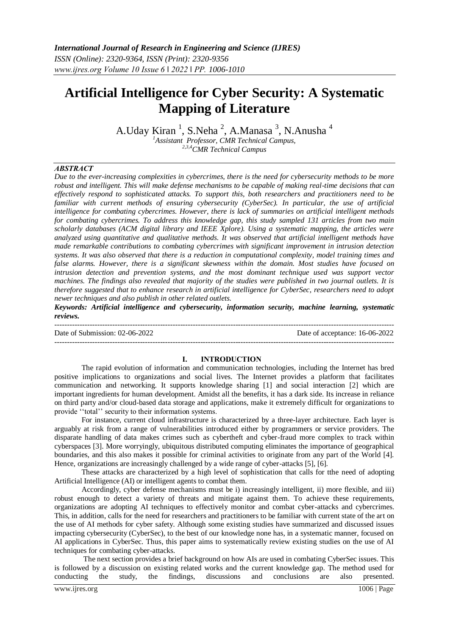# **Artificial Intelligence for Cyber Security: A Systematic Mapping of Literature**

A.Uday Kiran<sup>1</sup>, S.Neha<sup>2</sup>, A.Manasa<sup>3</sup>, N.Anusha<sup>4</sup>

*<sup>1</sup>Assistant Professor, CMR Technical Campus,*

*2,3,4CMR Technical Campus*

## *ABSTRACT*

*Due to the ever-increasing complexities in cybercrimes, there is the need for cybersecurity methods to be more robust and intelligent. This will make defense mechanisms to be capable of making real-time decisions that can effectively respond to sophisticated attacks. To support this, both researchers and practitioners need to be familiar with current methods of ensuring cybersecurity (CyberSec). In particular, the use of artificial intelligence for combating cybercrimes. However, there is lack of summaries on artificial intelligent methods for combating cybercrimes. To address this knowledge gap, this study sampled 131 articles from two main scholarly databases (ACM digital library and IEEE Xplore). Using a systematic mapping, the articles were analyzed using quantitative and qualitative methods. It was observed that artificial intelligent methods have made remarkable contributions to combating cybercrimes with significant improvement in intrusion detection systems. It was also observed that there is a reduction in computational complexity, model training times and false alarms. However, there is a significant skewness within the domain. Most studies have focused on intrusion detection and prevention systems, and the most dominant technique used was support vector machines. The findings also revealed that majority of the studies were published in two journal outlets. It is therefore suggested that to enhance research in artificial intelligence for CyberSec, researchers need to adopt newer techniques and also publish in other related outlets.*

*Keywords: Artificial intelligence and cybersecurity, information security, machine learning, systematic reviews.*

--------------------------------------------------------------------------------------------------------------------------------------- Date of Submission: 02-06-2022 Date of acceptance: 16-06-2022 ---------------------------------------------------------------------------------------------------------------------------------------

## **I. INTRODUCTION**

The rapid evolution of information and communication technologies, including the Internet has bred positive implications to organizations and social lives. The Internet provides a platform that facilitates communication and networking. It supports knowledge sharing [1] and social interaction [2] which are important ingredients for human development. Amidst all the benefits, it has a dark side. Its increase in reliance on third party and/or cloud-based data storage and applications, make it extremely difficult for organizations to provide ''total'' security to their information systems.

For instance, current cloud infrastructure is characterized by a three-layer architecture. Each layer is arguably at risk from a range of vulnerabilities introduced either by programmers or service providers. The disparate handling of data makes crimes such as cybertheft and cyber-fraud more complex to track within cyberspaces [3]. More worryingly, ubiquitous distributed computing eliminates the importance of geographical boundaries, and this also makes it possible for criminal activities to originate from any part of the World [4]. Hence, organizations are increasingly challenged by a wide range of cyber-attacks [5], [6].

These attacks are characterized by a high level of sophistication that calls for tthe need of adopting Artificial Intelligence (AI) or intelligent agents to combat them.

Accordingly, cyber defense mechanisms must be i) increasingly intelligent, ii) more flexible, and iii) robust enough to detect a variety of threats and mitigate against them. To achieve these requirements, organizations are adopting AI techniques to effectively monitor and combat cyber-attacks and cybercrimes. This, in addition, calls for the need for researchers and practitioners to be familiar with current state of the art on the use of AI methods for cyber safety. Although some existing studies have summarized and discussed issues impacting cybersecurity (CyberSec), to the best of our knowledge none has, in a systematic manner, focused on AI applications in CyberSec. Thus, this paper aims to systematically review existing studies on the use of AI techniques for combating cyber-attacks.

The next section provides a brief background on how AIs are used in combating CyberSec issues. This is followed by a discussion on existing related works and the current knowledge gap. The method used for conducting the study, the findings, discussions and conclusions are also presented.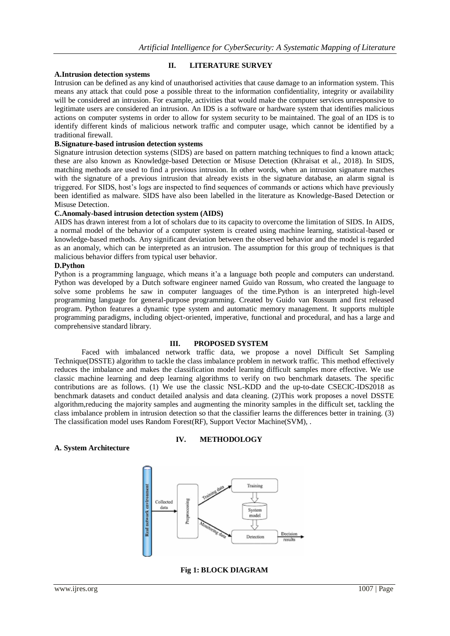## **II. LITERATURE SURVEY**

## **A.Intrusion detection systems**

Intrusion can be defined as any kind of unauthorised activities that cause damage to an information system. This means any attack that could pose a possible threat to the information confidentiality, integrity or availability will be considered an intrusion. For example, activities that would make the computer services unresponsive to legitimate users are considered an intrusion. An IDS is a software or hardware system that identifies malicious actions on computer systems in order to allow for system security to be maintained. The goal of an IDS is to identify different kinds of malicious network traffic and computer usage, which cannot be identified by a traditional firewall.

## **B.Signature-based intrusion detection systems**

Signature intrusion detection systems (SIDS) are based on pattern matching techniques to find a known attack; these are also known as Knowledge-based Detection or Misuse Detection (Khraisat et al., 2018). In SIDS, matching methods are used to find a previous intrusion. In other words, when an intrusion signature matches with the signature of a previous intrusion that already exists in the signature database, an alarm signal is triggered. For SIDS, host's logs are inspected to find sequences of commands or actions which have previously been identified as malware. SIDS have also been labelled in the literature as Knowledge-Based Detection or Misuse Detection.

#### **C.Anomaly-based intrusion detection system (AIDS)**

AIDS has drawn interest from a lot of scholars due to its capacity to overcome the limitation of SIDS. In AIDS, a normal model of the behavior of a computer system is created using machine learning, statistical-based or knowledge-based methods. Any significant deviation between the observed behavior and the model is regarded as an anomaly, which can be interpreted as an intrusion. The assumption for this group of techniques is that malicious behavior differs from typical user behavior.

#### **D.Python**

Python is a programming language, which means it'a a language both people and computers can understand. Python was developed by a Dutch software engineer named Guido van Rossum, who created the language to solve some problems he saw in computer languages of the time.Python is an interpreted high-level programming language for general-purpose programming. Created by Guido van Rossum and first released program. Python features a dynamic type system and automatic memory management. It supports multiple programming paradigms, including object-oriented, imperative, functional and procedural, and has a large and comprehensive standard library.

## **III. PROPOSED SYSTEM**

Faced with imbalanced network traffic data, we propose a novel Difficult Set Sampling Technique(DSSTE) algorithm to tackle the class imbalance problem in network traffic. This method effectively reduces the imbalance and makes the classification model learning difficult samples more effective. We use classic machine learning and deep learning algorithms to verify on two benchmark datasets. The specific contributions are as follows. (1) We use the classic NSL-KDD and the up-to-date CSECIC-IDS2018 as benchmark datasets and conduct detailed analysis and data cleaning. (2)This work proposes a novel DSSTE algorithm,reducing the majority samples and augmenting the minority samples in the difficult set, tackling the class imbalance problem in intrusion detection so that the classifier learns the differences better in training. (3) The classification model uses Random Forest(RF), Support Vector Machine(SVM), .

#### **A. System Architecture**





#### **Fig 1: BLOCK DIAGRAM**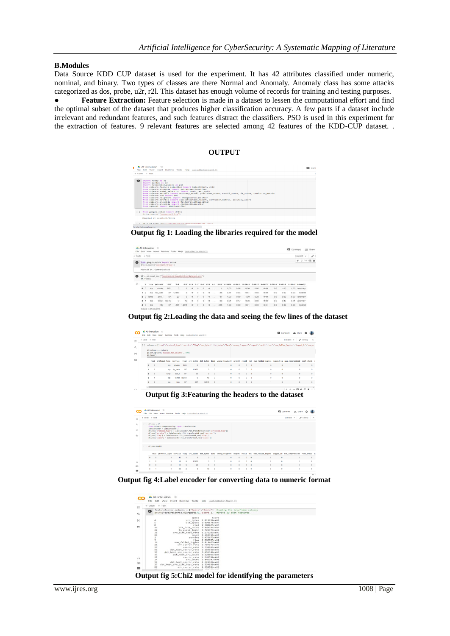#### **B.Modules**

Data Source KDD CUP dataset is used for the experiment. It has 42 attributes classified under numeric, nominal, and binary. Two types of classes are there Normal and Anomaly. Anomaly class has some attacks categorized as dos, probe, u2r, r2l. This dataset has enough volume of records for training and testing purposes.

**• <b>Feature Extraction:** Feature selection is made in a dataset to lessen the computational effort and find the optimal subset of the dataset that produces higher classification accuracy. A few parts if a dataset include irrelevant and redundant features, and such features distract the classifiers. PSO is used in this experiment for the extraction of features. 9 relevant features are selected among 42 features of the KDD-CUP dataset. .

#### **OUTPUT**

|  | ▲ Al-intrusion<br>File Edit View Insert Runtime Tools Help Last-edited-on-March 31                                                                                                                                                                                                                                                                                                                                                                                                                                                                                                                                                                                                        | $\Box$ Cor |
|--|-------------------------------------------------------------------------------------------------------------------------------------------------------------------------------------------------------------------------------------------------------------------------------------------------------------------------------------------------------------------------------------------------------------------------------------------------------------------------------------------------------------------------------------------------------------------------------------------------------------------------------------------------------------------------------------------|------------|
|  | a Code a Text                                                                                                                                                                                                                                                                                                                                                                                                                                                                                                                                                                                                                                                                             |            |
|  | import numpy as np<br>import pandas as pd<br>import matplotlib.pyplot as plt<br>from sklearn.feature selection import SelectKBest, chi2<br>from sklearn.ensemble import ExtraTreesClassifier<br>from sklearn.model_selection_import_train_test_split<br>from sklearn.metrics import accuracy_score, precision_score, recall_score, fi_score, confusion_matrix<br>from sklearn, svm import SVC<br>from sklearn.neighbors import KNeighborsClassifier<br>from sklearn.netrics import classification_report, confusion_matrix, accuracy_score<br>from sklearn.ensemble import RandomForestClassifier<br>from sklearn.ensemble import AdaBoostClassifier<br>from xaboost import XGRClassifier |            |
|  | from google.colab import drive<br>drive.mount('/content/drive')                                                                                                                                                                                                                                                                                                                                                                                                                                                                                                                                                                                                                           |            |
|  | Mounted at /content/drive                                                                                                                                                                                                                                                                                                                                                                                                                                                                                                                                                                                                                                                                 |            |
|  | (C) 3 of a nd model care (" Constant Global co-Murtin Landsweise care ")                                                                                                                                                                                                                                                                                                                                                                                                                                                                                                                                                                                                                  |            |

**Output fig 1: Loading the libraries required for the model**

| $+$ Code  |         | $+$ Text |           |                                                                                              |      |         |          |          |          |          |         |            |    |      |      |                                                          |      |      |        |      |                       | Connect        | $\sim$  | $\overline{\phantom{a}}$ |
|-----------|---------|----------|-----------|----------------------------------------------------------------------------------------------|------|---------|----------|----------|----------|----------|---------|------------|----|------|------|----------------------------------------------------------|------|------|--------|------|-----------------------|----------------|---------|--------------------------|
| $\bullet$ |         |          |           | from google.colab import drive<br>drive.mount('/content/drive')<br>Hounted at /content/drive |      |         |          |          |          |          |         |            |    |      |      |                                                          |      |      |        |      |                       | $+1$           | $^{62}$ | 日立                       |
| o         |         |          |           | df = pd.read_csv("/content/drive/MyDrive/dataset.csv")                                       |      |         |          |          |          |          |         |            |    |      |      |                                                          |      |      |        |      |                       |                |         |                          |
|           |         |          | df.head() |                                                                                              |      |         |          |          |          |          |         |            |    |      |      |                                                          |      |      |        |      |                       |                |         |                          |
| D-        |         | ó        | tcp       | orivate                                                                                      | BE3  | 0.1     | 0.2      |          |          |          |         |            |    |      |      | 0.1 0.4 0.5 0.6  10.1 0.04.1 0.06.1 0.00.3 0.00.4 0.00.5 |      |      | 0.00.6 |      | 1.00.2 1.00.3 anonaly |                |         |                          |
|           | $\circ$ | $\circ$  | top       | private                                                                                      | REJ  | $\circ$ | $\Omega$ | $\alpha$ | $\circ$  | $\circ$  | $\circ$ | ۰          |    | 0.00 | 0.06 | 0.00                                                     | 0.00 | 0.00 | 0.0    | 1.00 | 1.00                  | anomaty        |         |                          |
|           | ۹.      |          | tco       | ftp data                                                                                     | SF   | 12983   | O        | o        | $\Omega$ | ö        | o       | $\sim$     | 86 | 0.61 | 0.04 | 0.61                                                     | 0.02 | 0.00 | 0.0    | 0.00 | 0.00                  | normal         |         |                          |
|           | 2.0     |          | icmo      | eco_i                                                                                        | SF   | 20      | $\circ$  | $\alpha$ | $\circ$  | $\circ$  | $\circ$ | $\sim$     | 57 | 1.00 | 0.00 | 1.00                                                     | 0.28 | 0.00 | 0.0    | 0.00 |                       | $0.00$ anomaly |         |                          |
|           | a       |          | tco       | telnet                                                                                       | RSTO | $\circ$ | 15       | $\Omega$ | $\alpha$ | $\alpha$ | $\circ$ | <b>Sec</b> | 86 | 0.31 | 0.17 | 0.03                                                     | 0.02 | 0.00 | 0.0    | 0.83 | 0.71                  | anomaly        |         |                          |

**Output fig 2:Loading the data and seeing the few lines of the dataset**

| co                  |                   |                    | △ Al-intrusion ☆<br>File Edit View Insert Runtime Tools Help Last-edited-on-March-31 |              |             |            |         |            |         |            |            |            |                                                                                                                                                                      | Comment     | <b>AL</b> Share |                  |            |
|---------------------|-------------------|--------------------|--------------------------------------------------------------------------------------|--------------|-------------|------------|---------|------------|---------|------------|------------|------------|----------------------------------------------------------------------------------------------------------------------------------------------------------------------|-------------|-----------------|------------------|------------|
| $\equiv$            | $+$ Code $+$ Text |                    |                                                                                      |              |             |            |         |            |         |            |            |            |                                                                                                                                                                      | Connect +   |                 | $\angle$ Editing | $\sim$     |
| $\alpha$<br>$\{x\}$ |                   | df.head()          | df.columns = columns<br>pd.set_option('display.max_columns', 500)                    |              |             |            |         |            |         |            |            |            | [ ] columns (['real','protocol_type','service','flag','src_bytes','dst_bytes','land','wrong_fragment','urgent','reall','hot','num_failed_logins','logged_in','num_co |             |                 |                  |            |
| $\Box$              |                   |                    | real protocol type service                                                           |              |             |            |         |            |         |            |            |            | flag src_bytes dst_bytes land wrong_fragment urgent real1 hot num_failed_logins logged_in num_compromised root_shell :                                               |             |                 |                  |            |
|                     |                   | $\circ$<br>$\circ$ | tcp                                                                                  | private      | <b>REJ</b>  | $^{\circ}$ | $\circ$ | $^{\circ}$ | $\circ$ | $^{\circ}$ | $\circ$    | $^{\circ}$ | $^{\circ}$                                                                                                                                                           | $\circ$     | o               |                  | $\circ$    |
|                     |                   | $\overline{2}$     | tcp                                                                                  | flp data     | <b>SF</b>   | 12983      | $\circ$ | $\Omega$   | $\circ$ | $^{\circ}$ | $^{\circ}$ | $^{\circ}$ | $\Omega$                                                                                                                                                             | $\circ$     | Ō               |                  | $\circ$    |
|                     |                   | $\circ$            | icmp                                                                                 | eco          | SF          | 20         | $\circ$ | $\circ$    | $\circ$ | $^{\circ}$ |            | 0 0        | $\circ$                                                                                                                                                              | $\circ$     | Ō               |                  | $^{\circ}$ |
|                     |                   | ۵                  | tcp                                                                                  |              | telnet RSTO | $\circ$    | 15      | $\Omega$   | $\circ$ | $\circ$    | $\circ$    | $\Omega$   | $\Omega$                                                                                                                                                             | $\circ$     | ō               |                  | $\circ$    |
|                     |                   | 4<br>$\circ$       | tcp                                                                                  | http         | SF          | 267        | 14515   | $\circ$    | $\circ$ | $\circ$    | $\circ$    | $\circ$    |                                                                                                                                                                      | $\circ$     | 0               |                  | $\circ$    |
| $\langle$ 3         |                   | ~                  |                                                                                      | $\mathbf{r}$ |             |            | $\sim$  |            |         |            |            |            | $\sim$ $\sim$<br>$\sim$                                                                                                                                              | -<br>$\sim$ |                 | . .              |            |

**Output fig 3:Featuring the headers to the dataset**

| œ               |                |                                      | Al-intrusion $\hat{z}$<br>File Edit View Insert Runtime Tools Help Last edited on March 31.                                                                                                                                                                                                                                                                           |    |                |          |          |          |         |         |         |            |                                                                                                                                                    |         | Comment<br>AL Share | n                |         |
|-----------------|----------------|--------------------------------------|-----------------------------------------------------------------------------------------------------------------------------------------------------------------------------------------------------------------------------------------------------------------------------------------------------------------------------------------------------------------------|----|----------------|----------|----------|----------|---------|---------|---------|------------|----------------------------------------------------------------------------------------------------------------------------------------------------|---------|---------------------|------------------|---------|
| $+ Code + Text$ |                |                                      |                                                                                                                                                                                                                                                                                                                                                                       |    |                |          |          |          |         |         |         |            |                                                                                                                                                    |         | Connect -           | $\angle$ Editing |         |
| $\Box$          |                | $df$ new $- df$<br>[ ] df new.head() | from sklearn.preprocessing inport LabelEncoder<br>labelencoder = LabelEncoder()<br>df_new['protocol_type'] = labelencoder.fit_transform(df_new['protocol_type'])<br>df_new['service'] = labelencoder.fit_transform(df_new['service'])<br>df_new['flag'] = labelencoder.fit_transform(df_new['flag'])<br>df new['class'] = labelencoder.fit transform(df new['class']) |    |                |          |          |          |         |         |         |            |                                                                                                                                                    |         |                     |                  |         |
|                 |                |                                      |                                                                                                                                                                                                                                                                                                                                                                       |    |                |          |          |          |         |         |         |            | real protocol_type service flag src_bytes dst_bytes land wrong_fragment urgent reali hot num_failed_logins logged_in num_compromised root_shell su |         |                     |                  |         |
|                 | $\circ$        | $\circ$                              |                                                                                                                                                                                                                                                                                                                                                                       | 45 |                | $\circ$  | $\Omega$ | $\Omega$ | $\circ$ | $\circ$ | $\circ$ | $\Omega$   | $\Omega$                                                                                                                                           | $\circ$ | $\circ$             |                  | $\circ$ |
|                 | ٠              |                                      |                                                                                                                                                                                                                                                                                                                                                                       | 19 | $\Omega$       | 12983    | $\circ$  | $\Omega$ | $\circ$ | $\circ$ | $\circ$ | $\circ$    | $\circ$                                                                                                                                            | $\circ$ | $\circ$             |                  | $\circ$ |
|                 | $\overline{2}$ | $\circ$                              | $\circ$                                                                                                                                                                                                                                                                                                                                                               | 13 | $\mathfrak{D}$ | 20       | o        | $\circ$  | $\circ$ | $\circ$ | $\circ$ | $^{\circ}$ | $^{\circ}$                                                                                                                                         | $\circ$ | $^{\circ}$          |                  | $\circ$ |
|                 | $\overline{a}$ |                                      |                                                                                                                                                                                                                                                                                                                                                                       | 55 | $\overline{c}$ | $\Omega$ | 15       | $\Omega$ | $\circ$ | $\circ$ | $\circ$ | $\Omega$   | $\Omega$                                                                                                                                           | $\circ$ | $\circ$             |                  | $\circ$ |

**Output fig 4:Label encoder for converting data to numeric format**

| 疆          | File<br>$+ Code + Text$  | Edit View Insert Runtime Tools Help Last edited on March 31                             |                                                          |
|------------|--------------------------|-----------------------------------------------------------------------------------------|----------------------------------------------------------|
| $\alpha$   | $\bullet$                | featureScores.columns = ['Specs', 'Score']<br>print(featureScores.nlargest(30,'Score')) | #naming the dataframe columns<br>Wprint 10 best features |
|            |                          |                                                                                         | Score                                                    |
| $\{x\}$    |                          | Specs<br>src bytes                                                                      | 1.015220c+08                                             |
|            | s.                       | dst bytes                                                                               | 3.690576e+07                                             |
|            | ö                        | real                                                                                    | 2.300625e+06                                             |
| Ċ          | 32                       | dst host count                                                                          | 7.044734e+05                                             |
|            | 22                       | is guest login                                                                          | $3.725777e+05$                                           |
|            | 31                       | srv diff host rate                                                                      | 1.272281e+05                                             |
|            | 23                       | count                                                                                   | $5.1527150+04$                                           |
|            | $\overline{2}$           | service                                                                                 | $2.476673e+04$                                           |
|            | $\overline{\phantom{a}}$ | flag                                                                                    | 1.060705e+04                                             |
|            | 11                       | num failed logins                                                                       | $3.819467e + 03$                                         |
|            | 26                       | srv serror rate                                                                         | 3.7879700+03                                             |
|            | 27                       | rerror rate                                                                             | 3.7389920403                                             |
|            | 40                       | dst_host_rerror_rate                                                                    | 3.569640e+03                                             |
|            | 39                       | dst_host_srv_serror_rate                                                                | $3.451346e+03$                                           |
|            | 33                       | dst host srv count                                                                      | 2.328061e+03                                             |
| ès         | 2S                       | serror rate                                                                             | $1.663790e+03$                                           |
|            | 24                       | srv count                                                                               | 1.6491070+03                                             |
| (iii)      | 38                       | dst host serror rate                                                                    | $1,624100e+03$                                           |
|            | 37                       | dst host srv diff host rate                                                             | 1.534938e+03                                             |
| <b>PRI</b> | 2B                       | srv_rerror_rate                                                                         | $1.350584e+03$                                           |
|            |                          |                                                                                         |                                                          |

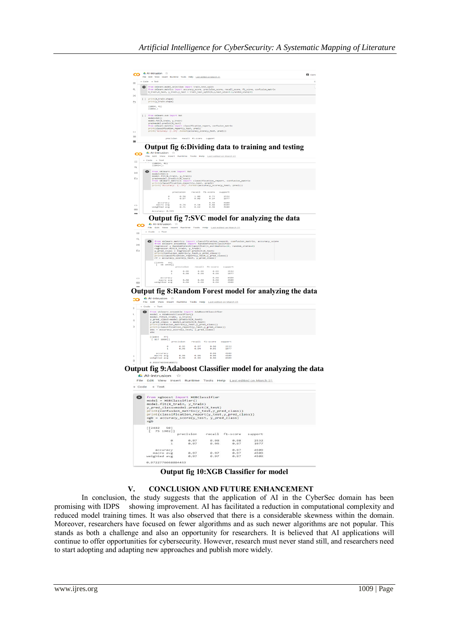

**Output fig 10:XGB Classifier for model**

## **V. CONCLUSION AND FUTURE ENHANCEMENT**

In conclusion, the study suggests that the application of AI in the CyberSec domain has been promising with IDPS showing improvement. AI has facilitated a reduction in computational complexity and reduced model training times. It was also observed that there is a considerable skewness within the domain. Moreover, researchers have focused on fewer algorithms and as such newer algorithms are not popular. This stands as both a challenge and also an opportunity for researchers. It is believed that AI applications will continue to offer opportunities for cybersecurity. However, research must never stand still, and researchers need to start adopting and adapting new approaches and publish more widely.